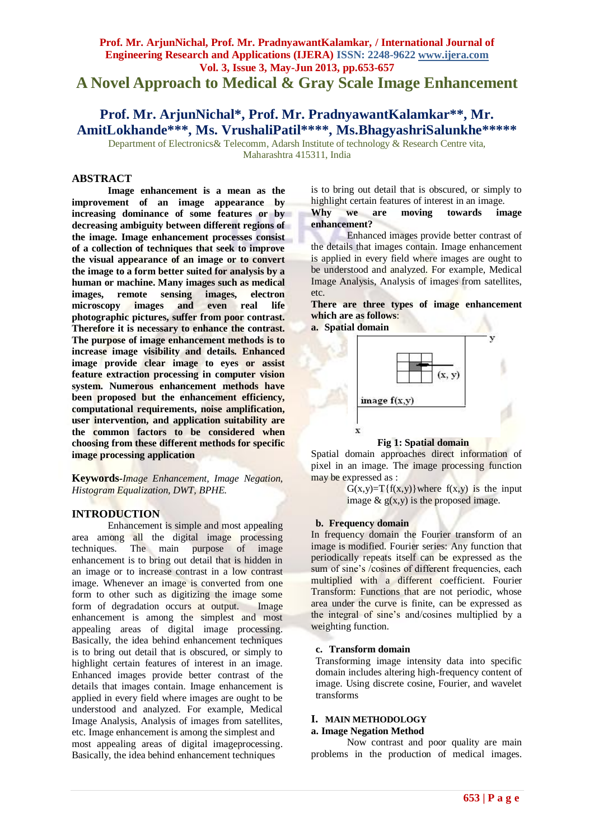# **Prof. Mr. ArjunNichal, Prof. Mr. PradnyawantKalamkar, / International Journal of Engineering Research and Applications (IJERA) ISSN: 2248-9622 www.ijera.com Vol. 3, Issue 3, May-Jun 2013, pp.653-657 A Novel Approach to Medical & Gray Scale Image Enhancement**

# **Prof. Mr. ArjunNichal\*, Prof. Mr. PradnyawantKalamkar\*\*, Mr. AmitLokhande\*\*\*, Ms. VrushaliPatil\*\*\*\*, Ms.BhagyashriSalunkhe\*\*\*\*\***

Department of Electronics & Telecomm, Adarsh Institute of technology & Research Centre vita, Maharashtra 415311, India

### **ABSTRACT**

**Image enhancement is a mean as the improvement of an image appearance by increasing dominance of some features or by decreasing ambiguity between different regions of the image. Image enhancement processes consist of a collection of techniques that seek to improve the visual appearance of an image or to convert the image to a form better suited for analysis by a human or machine. Many images such as medical images, remote sensing images, electron microscopy images and even real life photographic pictures, suffer from poor contrast. Therefore it is necessary to enhance the contrast. The purpose of image enhancement methods is to increase image visibility and details. Enhanced image provide clear image to eyes or assist feature extraction processing in computer vision system. Numerous enhancement methods have been proposed but the enhancement efficiency, computational requirements, noise amplification, user intervention, and application suitability are the common factors to be considered when choosing from these different methods for specific image processing application**

**Keywords-***Image Enhancement, Image Negation, Histogram Equalization, DWT, BPHE.*

## **INTRODUCTION**

Enhancement is simple and most appealing area among all the digital image processing techniques. The main purpose of image enhancement is to bring out detail that is hidden in an image or to increase contrast in a low contrast image. Whenever an image is converted from one form to other such as digitizing the image some form of degradation occurs at output. Image enhancement is among the simplest and most appealing areas of digital image processing. Basically, the idea behind enhancement techniques is to bring out detail that is obscured, or simply to highlight certain features of interest in an image. Enhanced images provide better contrast of the details that images contain. Image enhancement is applied in every field where images are ought to be understood and analyzed. For example, Medical Image Analysis, Analysis of images from satellites, etc. Image enhancement is among the simplest and most appealing areas of digital imageprocessing. Basically, the idea behind enhancement techniques

is to bring out detail that is obscured, or simply to highlight certain features of interest in an image.<br>Why we are moving towards im **Why we are moving towards image enhancement?**

Enhanced images provide better contrast of the details that images contain. Image enhancement is applied in every field where images are ought to be understood and analyzed. For example, Medical Image Analysis, Analysis of images from satellites, etc.

**There are three types of image enhancement which are as follows**:

**a. Spatial domain**



## **Fig 1: Spatial domain**

Spatial domain approaches direct information of pixel in an image. The image processing function may be expressed as :

> $G(x,y)=T{f(x,y)}$  where  $f(x,y)$  is the input image  $\&$  g(x,y) is the proposed image.

#### **b. Frequency domain**

In frequency domain the Fourier transform of an image is modified. Fourier series: Any function that periodically repeats itself can be expressed as the sum of sine's /cosines of different frequencies, each multiplied with a different coefficient. Fourier Transform: Functions that are not periodic, whose area under the curve is finite, can be expressed as the integral of sine"s and/cosines multiplied by a weighting function.

#### **c. Transform domain**

Transforming image intensity data into specific domain includes altering high-frequency content of image. Using discrete cosine, Fourier, and wavelet transforms

#### **I. MAIN METHODOLOGY**

#### **a. Image Negation Method**

Now contrast and poor quality are main problems in the production of medical images.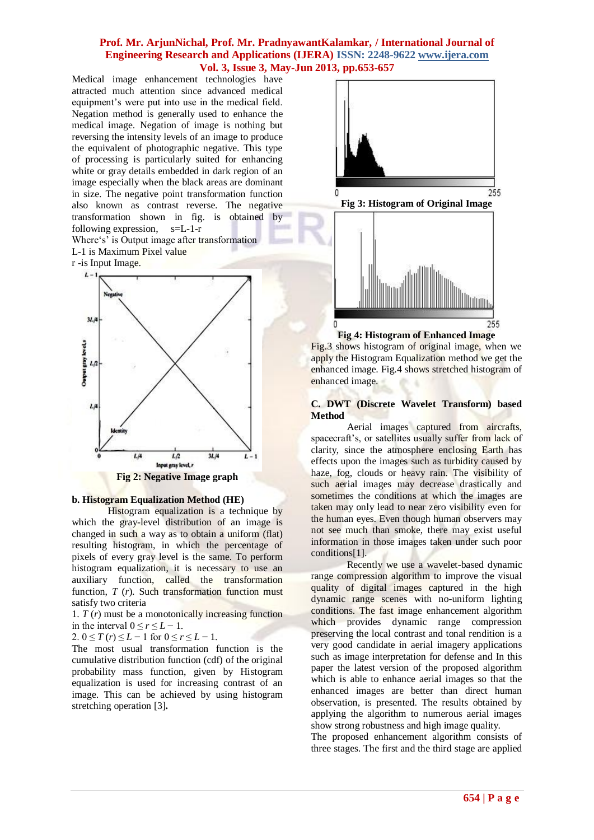Medical image enhancement technologies have attracted much attention since advanced medical equipment's were put into use in the medical field. Negation method is generally used to enhance the medical image. Negation of image is nothing but reversing the intensity levels of an image to produce the equivalent of photographic negative. This type of processing is particularly suited for enhancing white or gray details embedded in dark region of an image especially when the black areas are dominant in size. The negative point transformation function also known as contrast reverse. The negative transformation shown in fig. is obtained by following expression, s=L-1-r

Where's' is Output image after transformation L-1 is Maximum Pixel value

r -is Input Image.



## **b. Histogram Equalization Method (HE)**

Histogram equalization is a technique by which the gray-level distribution of an image is changed in such a way as to obtain a uniform (flat) resulting histogram, in which the percentage of pixels of every gray level is the same. To perform histogram equalization, it is necessary to use an auxiliary function, called the transformation function, *T* (*r*). Such transformation function must satisfy two criteria

1. *T* (*r*) must be a monotonically increasing function in the interval  $0 \le r \le L - 1$ .

2.  $0 \le T(r) \le L - 1$  for  $0 \le r \le L - 1$ .

The most usual transformation function is the cumulative distribution function (cdf) of the original probability mass function, given by Histogram equalization is used for increasing contrast of an image. This can be achieved by using histogram stretching operation [3]**.** 



**Fig 3: Histogram of Original Image**



**Fig 4: Histogram of Enhanced Image**

Fig.3 shows histogram of original image, when we apply the Histogram Equalization method we get the enhanced image. Fig.4 shows stretched histogram of enhanced image.

## **C. DWT (Discrete Wavelet Transform) based Method**

Aerial images captured from aircrafts, spacecraft's, or satellites usually suffer from lack of clarity, since the atmosphere enclosing Earth has effects upon the images such as turbidity caused by haze, fog, clouds or heavy rain. The visibility of such aerial images may decrease drastically and sometimes the conditions at which the images are taken may only lead to near zero visibility even for the human eyes. Even though human observers may not see much than smoke, there may exist useful information in those images taken under such poor conditions[1].

Recently we use a wavelet-based dynamic range compression algorithm to improve the visual quality of digital images captured in the high dynamic range scenes with no-uniform lighting conditions. The fast image enhancement algorithm which provides dynamic range compression preserving the local contrast and tonal rendition is a very good candidate in aerial imagery applications such as image interpretation for defense and In this paper the latest version of the proposed algorithm which is able to enhance aerial images so that the enhanced images are better than direct human observation, is presented. The results obtained by applying the algorithm to numerous aerial images show strong robustness and high image quality.

The proposed enhancement algorithm consists of three stages. The first and the third stage are applied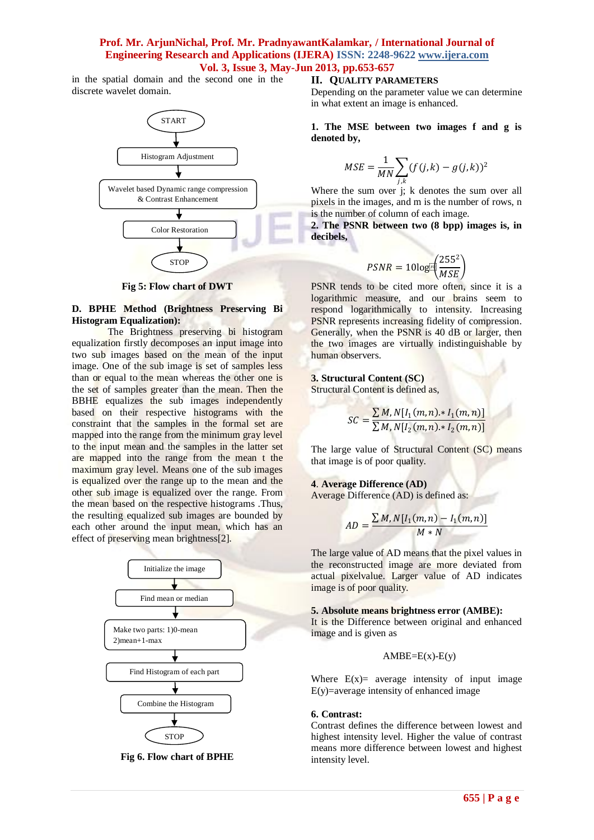in the spatial domain and the second one in the discrete wavelet domain.



**Fig 5: Flow chart of DWT**

#### **D. BPHE Method (Brightness Preserving Bi Histogram Equalization):**

The Brightness preserving bi histogram equalization firstly decomposes an input image into two sub images based on the mean of the input image. One of the sub image is set of samples less than or equal to the mean whereas the other one is the set of samples greater than the mean. Then the BBHE equalizes the sub images independently based on their respective histograms with the constraint that the samples in the formal set are mapped into the range from the minimum gray level to the input mean and the samples in the latter set are mapped into the range from the mean t the maximum gray level. Means one of the sub images is equalized over the range up to the mean and the other sub image is equalized over the range. From the mean based on the respective histograms .Thus, the resulting equalized sub images are bounded by each other around the input mean, which has an effect of preserving mean brightness[2].



**Fig 6. Flow chart of BPHE**

#### **II. QUALITY PARAMETERS**

Depending on the parameter value we can determine in what extent an image is enhanced.

**1. The MSE between two images f and g is denoted by,**

$$
MSE = \frac{1}{MN} \sum_{j,k} (f(j,k) - g(j,k))^2
$$

Where the sum over j; k denotes the sum over all pixels in the images, and m is the number of rows, n is the number of column of each image.

**2. The PSNR between two (8 bpp) images is, in decibels,**

$$
PSNR = 10\log\left(\frac{255^2}{MSE}\right)
$$

PSNR tends to be cited more often, since it is a logarithmic measure, and our brains seem to respond logarithmically to intensity. Increasing PSNR represents increasing fidelity of compression. Generally, when the PSNR is 40 dB or larger, then the two images are virtually indistinguishable by human observers.

#### **3. Structural Content (SC)**

Structural Content is defined as,

$$
SC = \frac{\sum M, N[I_1(m, n) \cdot I_1(m, n)]}{\sum M, N[I_2(m, n) \cdot I_2(m, n)]}
$$

The large value of Structural Content (SC) means that image is of poor quality.

#### **4**. **Average Difference (AD)**

Average Difference (AD) is defined as:

$$
AD = \frac{\sum M, N[I_1(m, n) - I_1(m, n)]}{M*N}
$$

The large value of AD means that the pixel values in the reconstructed image are more deviated from actual pixelvalue. Larger value of AD indicates image is of poor quality.

#### **5. Absolute means brightness error (AMBE):**

It is the Difference between original and enhanced image and is given as

$$
AMBE=E(x)-E(y)
$$

Where  $E(x)$  average intensity of input image E(y)=average intensity of enhanced image

#### **6. Contrast:**

Contrast defines the difference between lowest and highest intensity level. Higher the value of contrast means more difference between lowest and highest intensity level.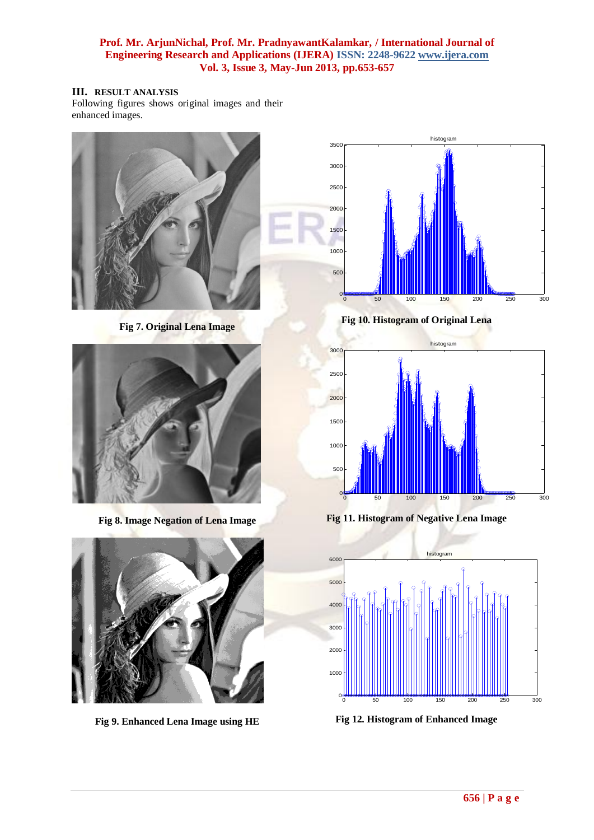## **III. RESULT ANALYSIS**

Following figures shows original images and their enhanced images.



**Fig 7. Original Lena Image**



**Fig 8. Image Negation of Lena Image**



**Fig 9. Enhanced Lena Image using HE**



**Fig 10. Histogram of Original Lena**



**Fig 11. Histogram of Negative Lena Image**



**Fig 12. Histogram of Enhanced Image**